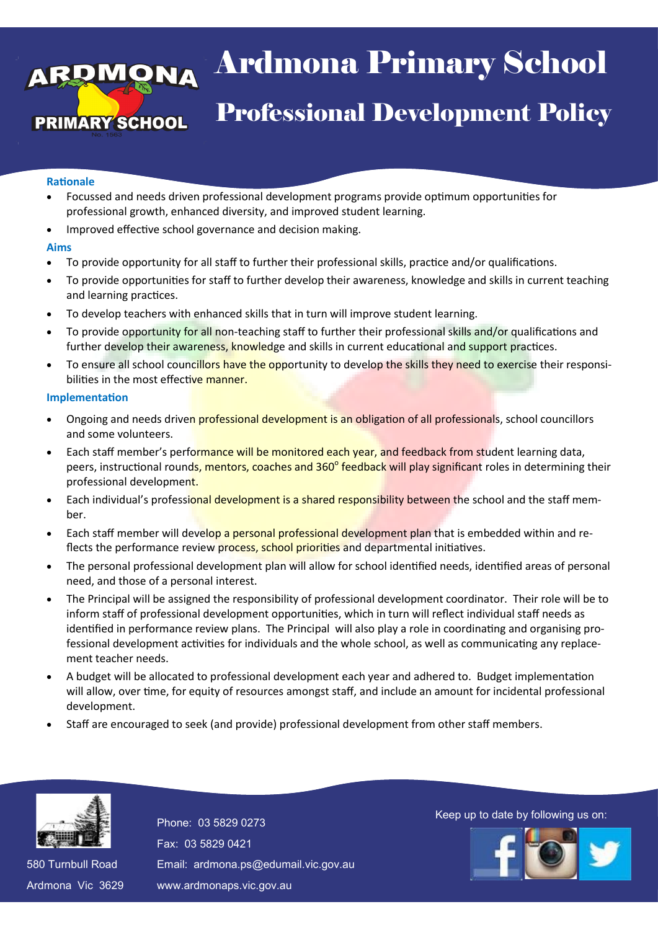# <sub>aa</sub> Arumona Pri <sub>pt</sub> Professional Development Policy  $\lambda$ l $\lambda$ a $\lambda$ l Ardmona Primary School

#### **Rationale**

- Focussed and needs driven professional development programs provide optimum opportunities for professional growth, enhanced diversity, and improved student learning.
- Improved effective school governance and decision making.

## **Aims**

- To provide opportunity for all staff to further their professional skills, practice and/or qualifications.
- To provide opportunities for staff to further develop their awareness, knowledge and skills in current teaching and learning practices.
- To develop teachers with enhanced skills that in turn will improve student learning.
- To provide opportunity for all non-teaching staff to further their professional skills and/or qualifications and further develop their awareness, knowledge and skills in current educational and support practices.
- To ensure all school councillors have the opportunity to develop the skills they need to exercise their responsibilities in the most effective manner.

#### **Implementation**

- Ongoing and needs driven professional development is an obligation of all professionals, school councillors and some volunteers.
- Each staff member's performance will be monitored each year, and feedback from student learning data, peers, instructional rounds, mentors, coaches and 360<sup>°</sup> feedback will play significant roles in determining their professional development.
- Each individual's professional development is a shared responsibility between the school and the staff member.
- Each staff member will develop a personal professional development plan that is embedded within and reflects the performance review process, school priorities and departmental initiatives.
- The personal professional development plan will allow for school identified needs, identified areas of personal need, and those of a personal interest.
- The Principal will be assigned the responsibility of professional development coordinator. Their role will be to inform staff of professional development opportunities, which in turn will reflect individual staff needs as identified in performance review plans. The Principal will also play a role in coordinating and organising professional development activities for individuals and the whole school, as well as communicating any replacement teacher needs.
- A budget will be allocated to professional development each year and adhered to. Budget implementation will allow, over time, for equity of resources amongst staff, and include an amount for incidental professional development.
- Staff are encouraged to seek (and provide) professional development from other staff members.



580 Turnbull Road 580 Turnbull Road Ardmona Vic 3629 Ardmona Vic 3629 Fax: 03 5829 0421 Fax: 03 5829 0421 Email: ardmona.ps@edumail.vic.gov.au Email: ardmona.ps@edumail.vic.gov.au www.ardmonaps.vic.gov.au www.ardmonaps.vic.gov.au

Thone: 03 5829 0273<br>Phone: 03 5829 0273